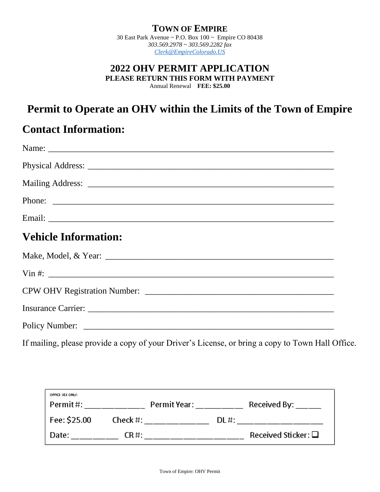#### **TOWN OF EMPIRE**

30 East Park Avenue ~ P.O. Box 100 ~ Empire CO 80438 *303.569.2978 ~ 303.569.2282 fax [Clerk@EmpireColorado.US](mailto:Clerk@EmpireColorado.US)*

#### **2022 OHV PERMIT APPLICATION PLEASE RETURN THIS FORM WITH PAYMENT** Annual Renewal **FEE: \$25.00**

# **Permit to Operate an OHV within the Limits of the Town of Empire**

### **Contact Information:**

| <b>Vehicle Information:</b>  |
|------------------------------|
|                              |
| $\[\text{Vin } \# \colon \_$ |
|                              |
|                              |
|                              |

If mailing, please provide a copy of your Driver's License, or bring a copy to Town Hall Office.

| OFFICE USE ONLY:<br>Permit#: |           | Permit Year: The Control |         | Received By:                |
|------------------------------|-----------|--------------------------|---------|-----------------------------|
| Fee: \$25.00                 |           | Check $\#$ :             | $DL#$ : |                             |
| Date:                        | $CR \#$ : |                          |         | Received Sticker: $\square$ |